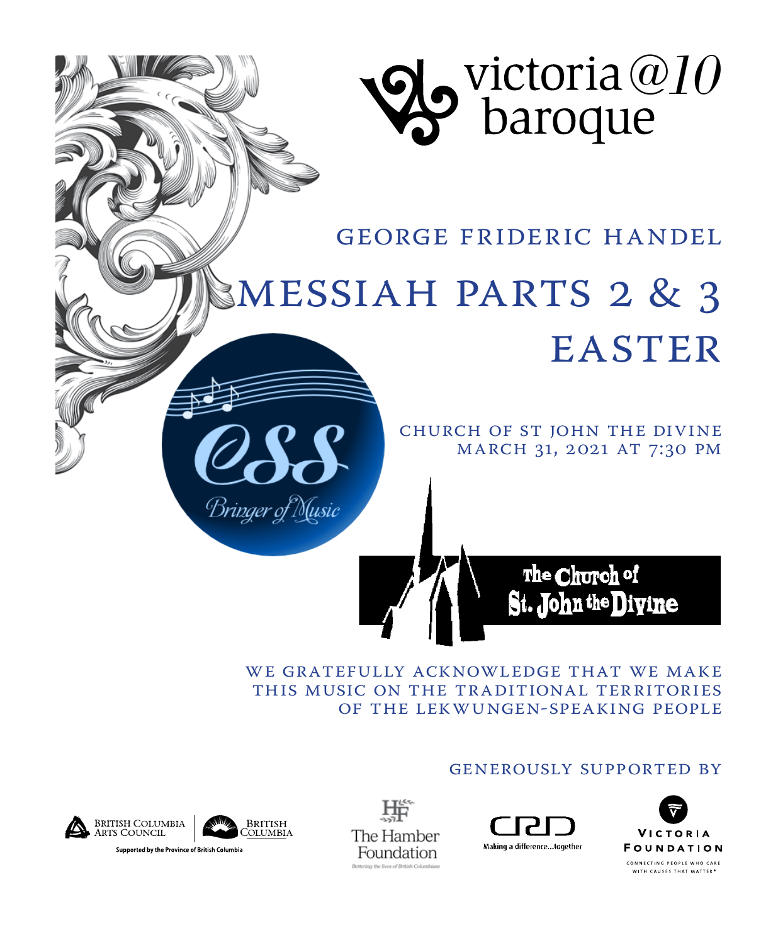

George Frideric Handel

# Messiah Parts 2 & 3 **EASTER**

Church of St John the Divine MARCH 31, 2021 AT 7:30 PM

> The Church of St. John the Divine

WE GRATEFULLY ACKNOWLEDGE THAT WE MAKE this music on the traditional territories of the Lekwungen-speaking people

#### generously Supported by







Bringer of Music

咔 The Hamber Foundation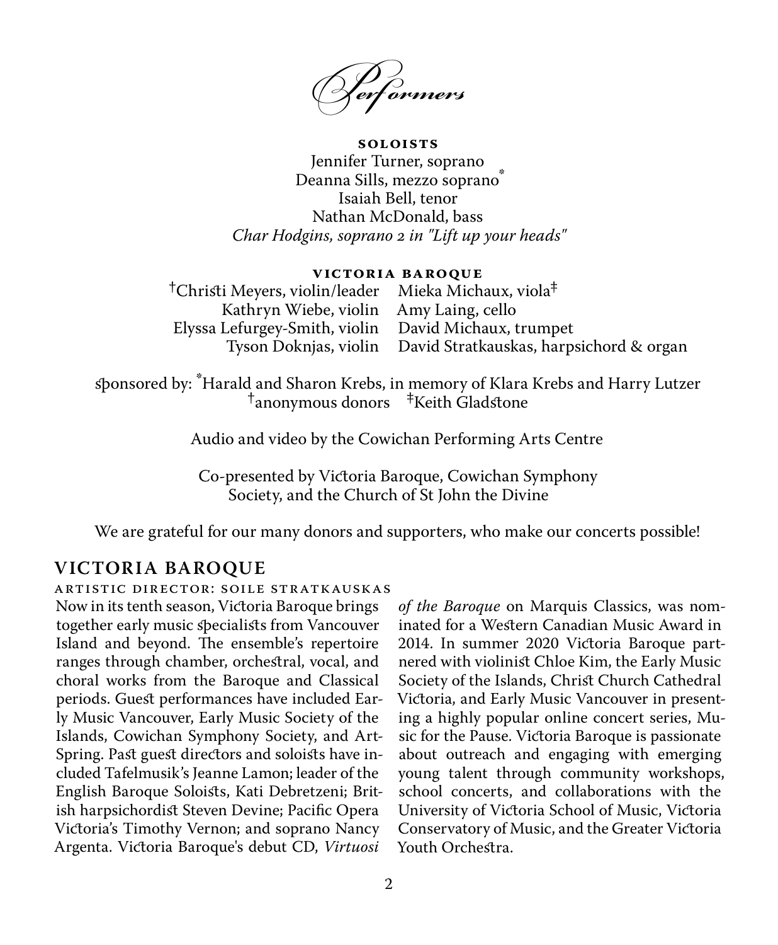*Perf ormers*

**Soloists** Jennifer Turner, soprano Deanna Sills, mezzo soprano<sup>\*</sup> Isaiah Bell, tenor Nathan McDonald, bass *Char Hodgins, soprano 2 in "Lift up your heads"*

#### **Victoria Baroque**

†Christi Meyers, violin/leader Kathryn Wiebe, violin Elyssa Lefurgey-Smith, violin Tyson Doknjas, violin Mieka Michaux, viola‡ Amy Laing, cello David Michaux, trumpet David Stratkauskas, harpsichord & organ

sponsored by:  $*$ Harald and Sharon Krebs, in memory of Klara Krebs and Harry Lutzer  $*$ Hanonymous donors  $*$ Keith Gladstone

Audio and video by the Cowichan Performing Arts Centre

Co-presented by Victoria Baroque, Cowichan Symphony Society, and the Church of St John the Divine

We are grateful for our many donors and supporters, who make our concerts possible!

**VICTORIA BAROQUE** Artistic Director: Soile Stratkauskas Now in its tenth season, Victoria Baroque brings together early music specialists from Vancouver Island and beyond. The ensemble's repertoire ranges through chamber, orchestral, vocal, and choral works from the Baroque and Classical periods. Guest performances have included Early Music Vancouver, Early Music Society of the Islands, Cowichan Symphony Society, and Art-Spring. Past guest directors and soloists have included Tafelmusik's Jeanne Lamon; leader of the English Baroque Soloists, Kati Debretzeni; British harpsichordist Steven Devine; Pacific Opera Victoria's Timothy Vernon; and soprano Nancy Argenta. Victoria Baroque's debut CD, *Virtuosi* 

*of the Baroque* on Marquis Classics, was nominated for a Western Canadian Music Award in 2014. In summer 2020 Victoria Baroque partnered with violinist Chloe Kim, the Early Music Society of the Islands, Christ Church Cathedral Victoria, and Early Music Vancouver in presenting a highly popular online concert series, Music for the Pause. Victoria Baroque is passionate about outreach and engaging with emerging young talent through community workshops, school concerts, and collaborations with the University of Victoria School of Music, Victoria Conservatory of Music, and the Greater Victoria Youth Orchestra.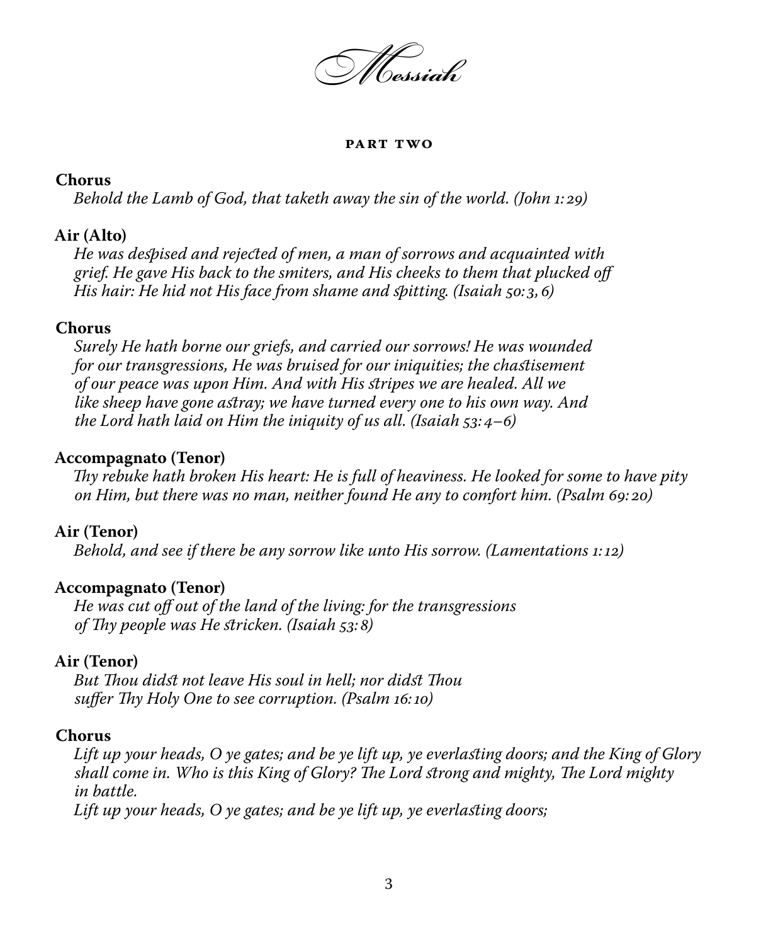*Messiah* 

#### **Part Two**

#### **Chorus**

*Behold the Lamb of God, that taketh away the sin of the world. (John 1: 29)*

#### **Air (Alto)**

*He was despised and rejected of men, a man of sorrows and acquainted with grief. He gave His back to the smiters, and His cheeks to them that plucked off His hair: He hid not His face from shame and spitting. (Isaiah 50: 3,6)*

#### **Chorus**

*Surely He hath borne our griefs, and carried our sorrows! He was wounded for our transgressions, He was bruised for our iniquities; the chastisement of our peace was upon Him. And with His stripes we are healed. All we like sheep have gone astray; we have turned every one to his own way. And the Lord hath laid on Him the iniquity of us all. (Isaiah 53:4–6)*

#### **Accompagnato (Tenor)**

*Thy rebuke hath broken His heart: He is full of heaviness. He looked for some to have pity on Him, but there was no man, neither found He any to comfort him. (Psalm 69: 20)*

#### **Air (Tenor)**

*Behold, and see if there be any sorrow like unto His sorrow. (Lamentations 1:12)*

#### **Accompagnato (Tenor)**

*He was cut off out of the land of the living: for the transgressions of Thy people was He stricken. (Isaiah 53: 8)*

#### **Air (Tenor)**

*But Thou didst not leave His soul in hell; nor didst Thou suffer Thy Holy One to see corruption. (Psalm 16:10)*

#### **Chorus**

*Lift up your heads, O ye gates; and be ye lift up, ye everlasting doors; and the King of Glory shall come in. Who is this King of Glory? The Lord strong and mighty, The Lord mighty in battle. Lift up your heads, O ye gates; and be ye lift up, ye everlasting doors;* 

3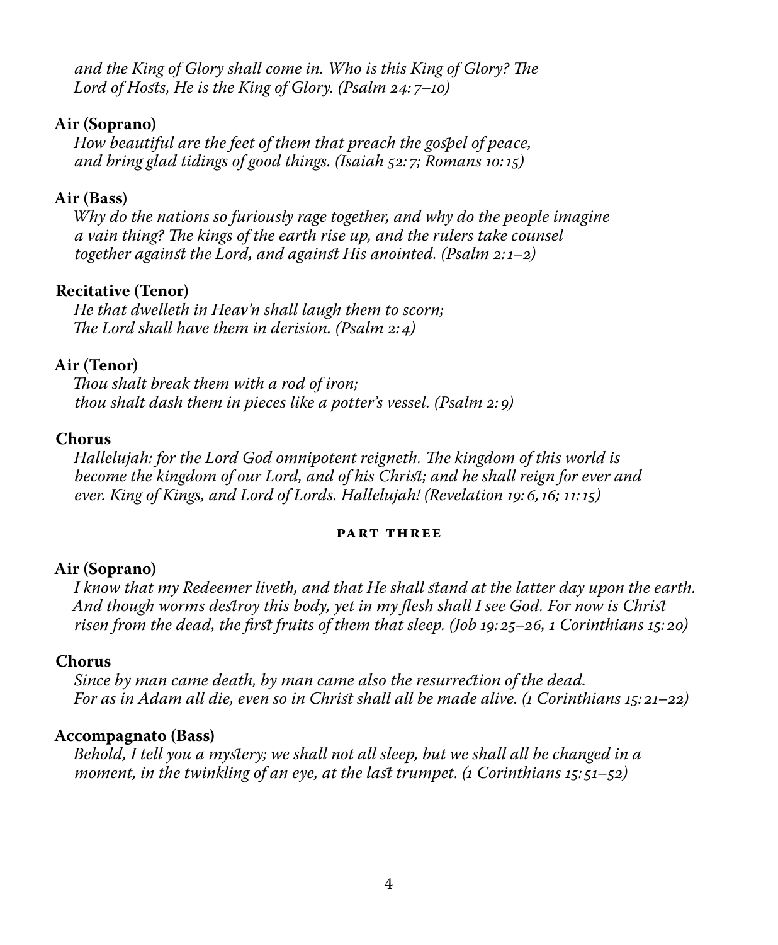*and the King of Glory shall come in. Who is this King of Glory? The Lord of Hosts, He is the King of Glory. (Psalm 24: 7–10)*

#### **Air (Soprano)**

*How beautiful are the feet of them that preach the gospel of peace, and bring glad tidings of good things. (Isaiah 52: 7; Romans 10:15)*

#### **Air (Bass)**

*Why do the nations so furiously rage together, and why do the people imagine a vain thing? The kings of the earth rise up, and the rulers take counsel together against the Lord, and against His anointed. (Psalm 2:1–2)*

#### **Recitative (Tenor)**

*He that dwelleth in Heav'n shall laugh them to scorn; The Lord shall have them in derision. (Psalm 2:4)*

#### **Air (Tenor)**

*Thou shalt break them with a rod of iron; thou shalt dash them in pieces like a potter's vessel. (Psalm 2: 9)*

#### **Chorus**

*Hallelujah: for the Lord God omnipotent reigneth. The kingdom of this world is become the kingdom of our Lord, and of his Christ; and he shall reign for ever and ever. King of Kings, and Lord of Lords. Hallelujah! (Revelation 19:6,16; 11:15)*

#### **Part Three**

#### **Air (Soprano)**

*I know that my Redeemer liveth, and that He shall stand at the latter day upon the earth. And though worms destroy this body, yet in my flesh shall I see God. For now is Christ risen from the dead, the first fruits of them that sleep. (Job 19: 25–26, 1 Corinthians 15: 20)*

#### **Chorus**

*Since by man came death, by man came also the resurrection of the dead. For as in Adam all die, even so in Christ shall all be made alive. (1 Corinthians 15: 21–22)*

#### **Accompagnato (Bass)**

*Behold, I tell you a mystery; we shall not all sleep, but we shall all be changed in a moment, in the twinkling of an eye, at the last trumpet. (1 Corinthians 15: 51–52)*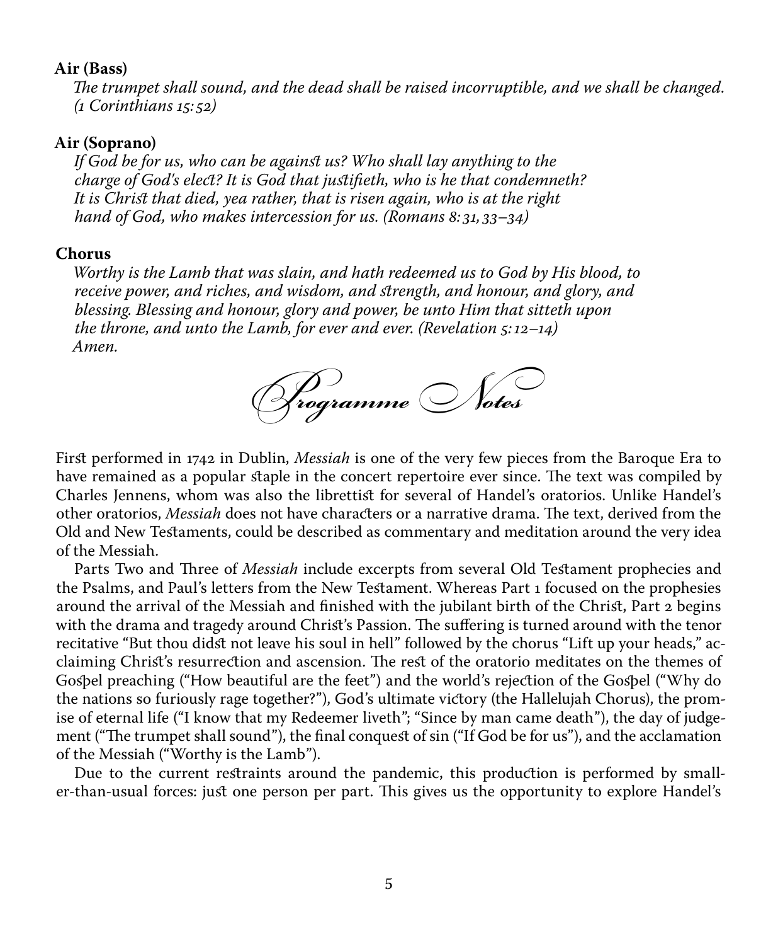#### **Air (Bass)**

*The trumpet shall sound, and the dead shall be raised incorruptible, and we shall be changed. (1 Corinthians 15: 52)*

#### **Air (Soprano)**

*If God be for us, who can be against us? Who shall lay anything to the charge of God's elect? It is God that justifieth, who is he that condemneth? It is Christ that died, yea rather, that is risen again, who is at the right hand of God, who makes intercession for us. (Romans 8: 31, 33–34)*

#### **Chorus**

*Worthy is the Lamb that was slain, and hath redeemed us to God by His blood, to receive power, and riches, and wisdom, and strength, and honour, and glory, and blessing. Blessing and honour, glory and power, be unto Him that sitteth upon the throne, and unto the Lamb, for ever and ever. (Revelation 5:12–14) Amen.*



First performed in 1742 in Dublin, *Messiah* is one of the very few pieces from the Baroque Era to have remained as a popular staple in the concert repertoire ever since. The text was compiled by Charles Jennens, whom was also the librettist for several of Handel's oratorios. Unlike Handel's other oratorios, *Messiah* does not have characters or a narrative drama. The text, derived from the Old and New Testaments, could be described as commentary and meditation around the very idea of the Messiah.

Parts Two and Three of *Messiah* include excerpts from several Old Testament prophecies and the Psalms, and Paul's letters from the New Testament. Whereas Part 1 focused on the prophesies around the arrival of the Messiah and finished with the jubilant birth of the Christ, Part 2 begins with the drama and tragedy around Christ's Passion. The suffering is turned around with the tenor recitative "But thou didst not leave his soul in hell" followed by the chorus "Lift up your heads," acclaiming Christ's resurrection and ascension. The rest of the oratorio meditates on the themes of Gospel preaching ("How beautiful are the feet") and the world's rejection of the Gospel ("Why do the nations so furiously rage together?"), God's ultimate victory (the Hallelujah Chorus), the promise of eternal life ("I know that my Redeemer liveth"; "Since by man came death"), the day of judgement ("The trumpet shall sound"), the final conquest of sin ("If God be for us"), and the acclamation of the Messiah ("Worthy is the Lamb").

Due to the current restraints around the pandemic, this production is performed by smaller-than-usual forces: just one person per part. This gives us the opportunity to explore Handel's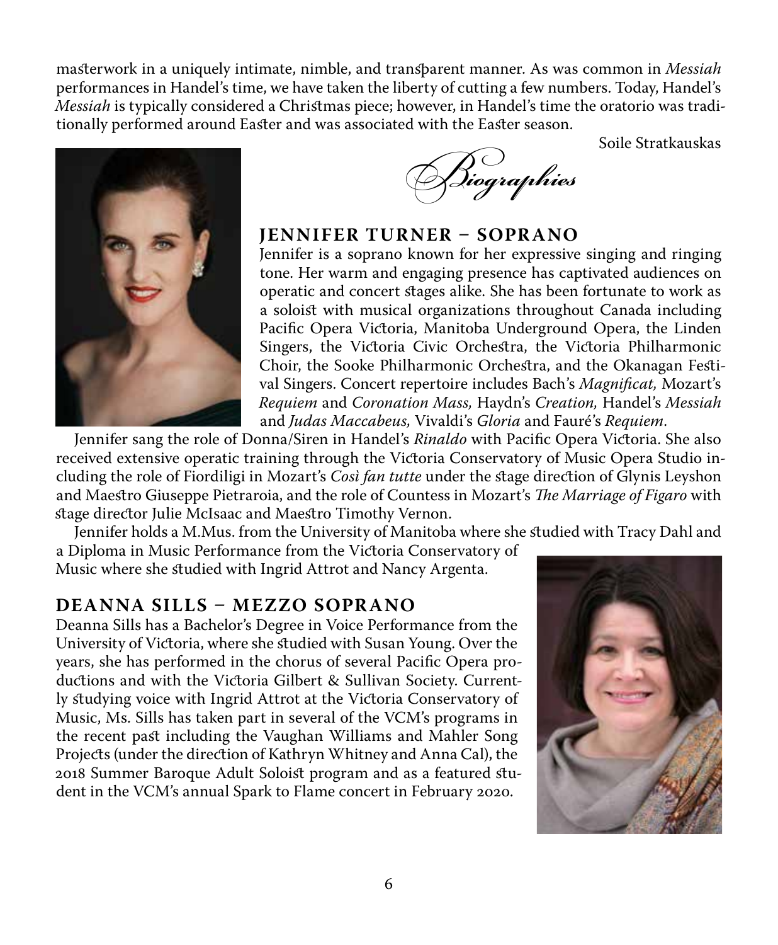masterwork in a uniquely intimate, nimble, and transparent manner. As was common in *Messiah* performances in Handel's time, we have taken the liberty of cutting a few numbers. Today, Handel's *Messiah* is typically considered a Christmas piece; however, in Handel's time the oratorio was traditionally performed around Easter and was associated with the Easter season.

Soile Stratkauskas





### **JENNIFER TURNER – SOPRANO**

Jennifer is a soprano known for her expressive singing and ringing tone. Her warm and engaging presence has captivated audiences on operatic and concert stages alike. She has been fortunate to work as a soloist with musical organizations throughout Canada including Pacific Opera Victoria, Manitoba Underground Opera, the Linden Singers, the Victoria Civic Orchestra, the Victoria Philharmonic Choir, the Sooke Philharmonic Orchestra, and the Okanagan Festival Singers. Concert repertoire includes Bach's *Magnificat,* Mozart's *Requiem* and *Coronation Mass,* Haydn's *Creation,* Handel's *Messiah* and *Judas Maccabeus,* Vivaldi's *Gloria* and Fauré's *Requiem*.

Jennifer sang the role of Donna/Siren in Handel's *Rinaldo* with Pacific Opera Victoria. She also received extensive operatic training through the Victoria Conservatory of Music Opera Studio including the role of Fiordiligi in Mozart's *Così fan tutte* under the stage direction of Glynis Leyshon and Maestro Giuseppe Pietraroia, and the role of Countess in Mozart's *The Marriage of Figaro* with stage director Julie McIsaac and Maestro Timothy Vernon.

Jennifer holds a M.Mus. from the University of Manitoba where she studied with Tracy Dahl and

a Diploma in Music Performance from the Victoria Conservatory of Music where she studied with Ingrid Attrot and Nancy Argenta.

# **DEANNA SILLS – MEZZO SOPRANO**

Deanna Sills has a Bachelor's Degree in Voice Performance from the University of Victoria, where she studied with Susan Young. Over the years, she has performed in the chorus of several Pacific Opera productions and with the Victoria Gilbert & Sullivan Society. Currently studying voice with Ingrid Attrot at the Victoria Conservatory of Music, Ms. Sills has taken part in several of the VCM's programs in the recent past including the Vaughan Williams and Mahler Song Projects (under the direction of Kathryn Whitney and Anna Cal), the 2018 Summer Baroque Adult Soloist program and as a featured student in the VCM's annual Spark to Flame concert in February 2020.

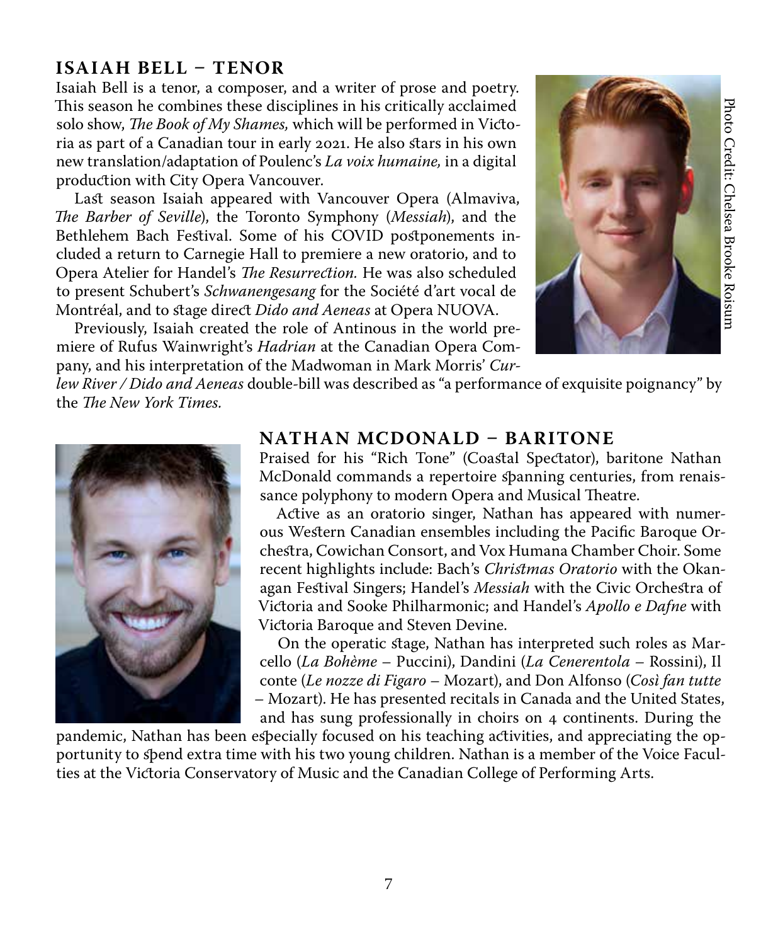# **ISAIAH BELL – TENOR**

Isaiah Bell is a tenor, a composer, and a writer of prose and poetry. This season he combines these disciplines in his critically acclaimed solo show, *The Book of My Shames,* which will be performed in Victoria as part of a Canadian tour in early 2021. He also stars in his own new translation/adaptation of Poulenc's *La voix humaine,* in a digital production with City Opera Vancouver.

Last season Isaiah appeared with Vancouver Opera (Almaviva, *The Barber of Seville*), the Toronto Symphony (*Messiah*), and the Bethlehem Bach Festival. Some of his COVID postponements included a return to Carnegie Hall to premiere a new oratorio, and to Opera Atelier for Handel's *The Resurrection.* He was also scheduled to present Schubert's *Schwanengesang* for the Société d'art vocal de Montréal, and to stage direct *Dido and Aeneas* at Opera NUOVA.

Previously, Isaiah created the role of Antinous in the world premiere of Rufus Wainwright's *Hadrian* at the Canadian Opera Company, and his interpretation of the Madwoman in Mark Morris' *Cur-*



*lew River / Dido and Aeneas* double-bill was described as "a performance of exquisite poignancy" by the *The New York Times.*



## **NATHAN MCDONALD – BARITONE**

Praised for his "Rich Tone" (Coastal Spectator), baritone Nathan McDonald commands a repertoire spanning centuries, from renaissance polyphony to modern Opera and Musical Theatre.

Active as an oratorio singer, Nathan has appeared with numerous Western Canadian ensembles including the Pacific Baroque Orchestra, Cowichan Consort, and Vox Humana Chamber Choir. Some recent highlights include: Bach's *Christmas Oratorio* with the Okanagan Festival Singers; Handel's *Messiah* with the Civic Orchestra of Victoria and Sooke Philharmonic; and Handel's *Apollo e Dafne* with Victoria Baroque and Steven Devine. This assess the constitute the the Canadian out in early 2021. He also stars in his conservator and the Conservation with CHV Opera Victoria Conservation with CHV Opera Nuclear and the Canadian Core is also that is a part

On the operatic stage, Nathan has interpreted such roles as Marcello (*La Bohème* – Puccini), Dandini (*La Cenerentola* – Rossini), Il conte (*Le nozze di Figaro* – Mozart), and Don Alfonso (*Così fan tutte*  – Mozart). He has presented recitals in Canada and the United States, and has sung professionally in choirs on 4 continents. During the

pandemic, Nathan has been especially focused on his teaching activities, and appreciating the opportunity to spend extra time with his two young children. Nathan is a member of the Voice Facul-<br>ties at the Victoria Conservatory of Music and the Canadian College of Performing Arts.